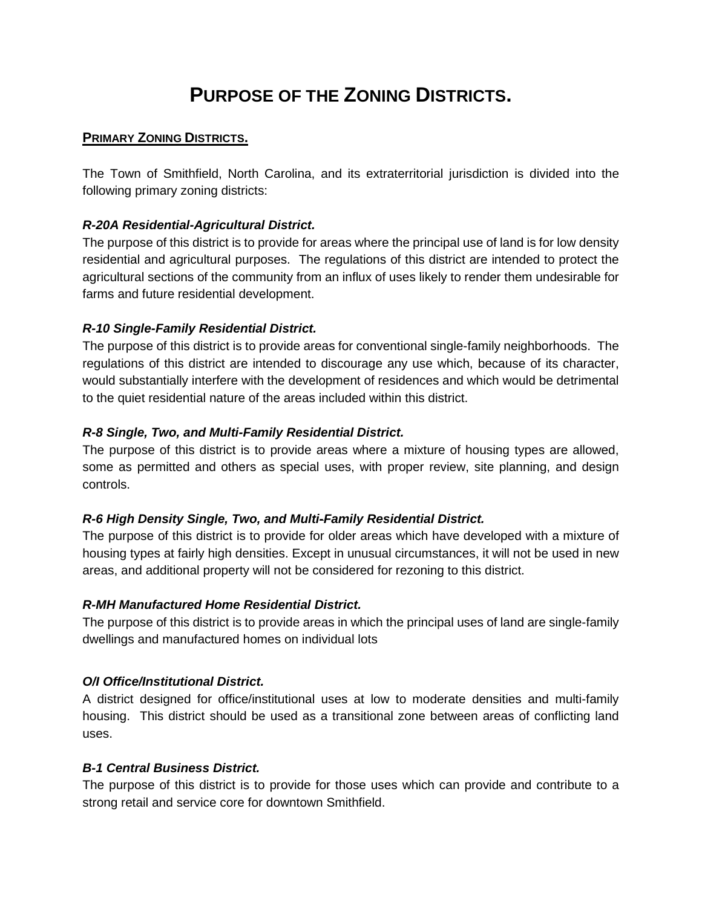# **PURPOSE OF THE ZONING DISTRICTS.**

## **PRIMARY ZONING DISTRICTS.**

The Town of Smithfield, North Carolina, and its extraterritorial jurisdiction is divided into the following primary zoning districts:

## *R-20A Residential-Agricultural District.*

The purpose of this district is to provide for areas where the principal use of land is for low density residential and agricultural purposes. The regulations of this district are intended to protect the agricultural sections of the community from an influx of uses likely to render them undesirable for farms and future residential development.

## *R-10 Single-Family Residential District.*

The purpose of this district is to provide areas for conventional single-family neighborhoods. The regulations of this district are intended to discourage any use which, because of its character, would substantially interfere with the development of residences and which would be detrimental to the quiet residential nature of the areas included within this district.

## *R-8 Single, Two, and Multi-Family Residential District.*

The purpose of this district is to provide areas where a mixture of housing types are allowed, some as permitted and others as special uses, with proper review, site planning, and design controls.

#### *R-6 High Density Single, Two, and Multi-Family Residential District.*

The purpose of this district is to provide for older areas which have developed with a mixture of housing types at fairly high densities. Except in unusual circumstances, it will not be used in new areas, and additional property will not be considered for rezoning to this district.

#### *R-MH Manufactured Home Residential District.*

The purpose of this district is to provide areas in which the principal uses of land are single-family dwellings and manufactured homes on individual lots

#### *O/I Office/Institutional District.*

A district designed for office/institutional uses at low to moderate densities and multi-family housing. This district should be used as a transitional zone between areas of conflicting land uses.

#### *B-1 Central Business District.*

The purpose of this district is to provide for those uses which can provide and contribute to a strong retail and service core for downtown Smithfield.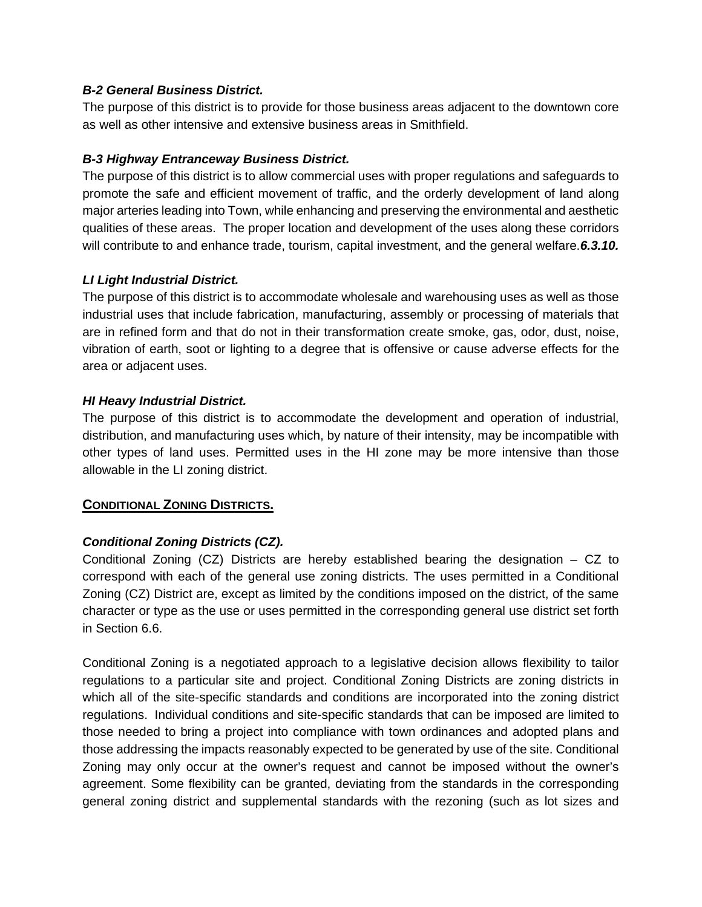## *B-2 General Business District.*

The purpose of this district is to provide for those business areas adjacent to the downtown core as well as other intensive and extensive business areas in Smithfield.

## *B-3 Highway Entranceway Business District.*

The purpose of this district is to allow commercial uses with proper regulations and safeguards to promote the safe and efficient movement of traffic, and the orderly development of land along major arteries leading into Town, while enhancing and preserving the environmental and aesthetic qualities of these areas. The proper location and development of the uses along these corridors will contribute to and enhance trade, tourism, capital investment, and the general welfare.*6.3.10.* 

## *LI Light Industrial District.*

The purpose of this district is to accommodate wholesale and warehousing uses as well as those industrial uses that include fabrication, manufacturing, assembly or processing of materials that are in refined form and that do not in their transformation create smoke, gas, odor, dust, noise, vibration of earth, soot or lighting to a degree that is offensive or cause adverse effects for the area or adjacent uses.

## *HI Heavy Industrial District.*

The purpose of this district is to accommodate the development and operation of industrial, distribution, and manufacturing uses which, by nature of their intensity, may be incompatible with other types of land uses. Permitted uses in the HI zone may be more intensive than those allowable in the LI zoning district.

# **CONDITIONAL ZONING DISTRICTS.**

# *Conditional Zoning Districts (CZ).*

Conditional Zoning (CZ) Districts are hereby established bearing the designation – CZ to correspond with each of the general use zoning districts. The uses permitted in a Conditional Zoning (CZ) District are, except as limited by the conditions imposed on the district, of the same character or type as the use or uses permitted in the corresponding general use district set forth in Section 6.6.

Conditional Zoning is a negotiated approach to a legislative decision allows flexibility to tailor regulations to a particular site and project. Conditional Zoning Districts are zoning districts in which all of the site-specific standards and conditions are incorporated into the zoning district regulations. Individual conditions and site-specific standards that can be imposed are limited to those needed to bring a project into compliance with town ordinances and adopted plans and those addressing the impacts reasonably expected to be generated by use of the site. Conditional Zoning may only occur at the owner's request and cannot be imposed without the owner's agreement. Some flexibility can be granted, deviating from the standards in the corresponding general zoning district and supplemental standards with the rezoning (such as lot sizes and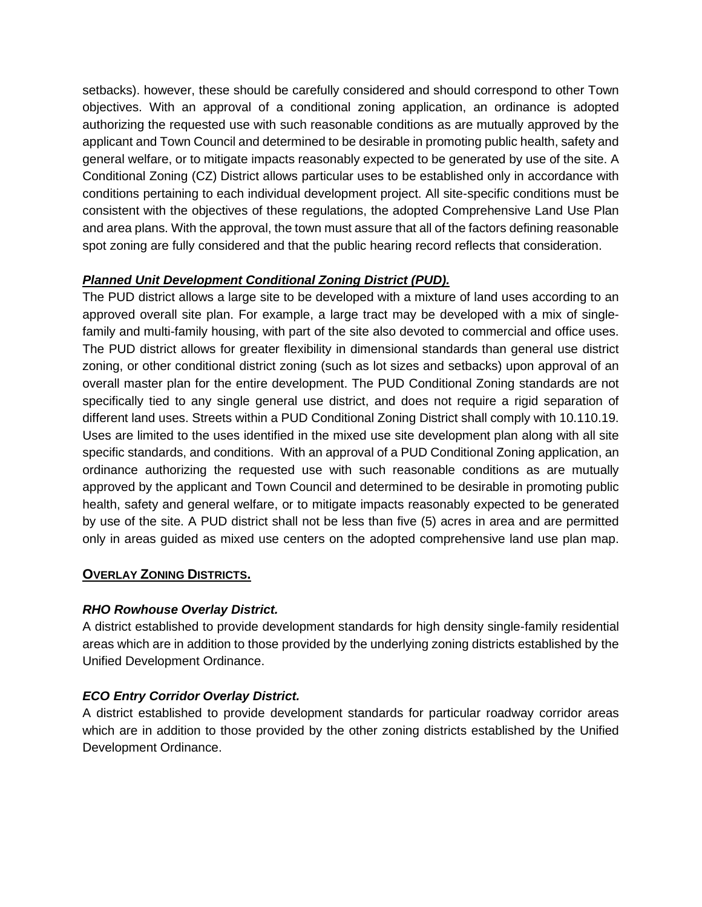setbacks). however, these should be carefully considered and should correspond to other Town objectives. With an approval of a conditional zoning application, an ordinance is adopted authorizing the requested use with such reasonable conditions as are mutually approved by the applicant and Town Council and determined to be desirable in promoting public health, safety and general welfare, or to mitigate impacts reasonably expected to be generated by use of the site. A Conditional Zoning (CZ) District allows particular uses to be established only in accordance with conditions pertaining to each individual development project. All site-specific conditions must be consistent with the objectives of these regulations, the adopted Comprehensive Land Use Plan and area plans. With the approval, the town must assure that all of the factors defining reasonable spot zoning are fully considered and that the public hearing record reflects that consideration.

# *Planned Unit Development Conditional Zoning District (PUD).*

The PUD district allows a large site to be developed with a mixture of land uses according to an approved overall site plan. For example, a large tract may be developed with a mix of singlefamily and multi-family housing, with part of the site also devoted to commercial and office uses. The PUD district allows for greater flexibility in dimensional standards than general use district zoning, or other conditional district zoning (such as lot sizes and setbacks) upon approval of an overall master plan for the entire development. The PUD Conditional Zoning standards are not specifically tied to any single general use district, and does not require a rigid separation of different land uses. Streets within a PUD Conditional Zoning District shall comply with 10.110.19. Uses are limited to the uses identified in the mixed use site development plan along with all site specific standards, and conditions. With an approval of a PUD Conditional Zoning application, an ordinance authorizing the requested use with such reasonable conditions as are mutually approved by the applicant and Town Council and determined to be desirable in promoting public health, safety and general welfare, or to mitigate impacts reasonably expected to be generated by use of the site. A PUD district shall not be less than five (5) acres in area and are permitted only in areas guided as mixed use centers on the adopted comprehensive land use plan map.

# **OVERLAY ZONING DISTRICTS.**

#### *RHO Rowhouse Overlay District.*

A district established to provide development standards for high density single-family residential areas which are in addition to those provided by the underlying zoning districts established by the Unified Development Ordinance.

# *ECO Entry Corridor Overlay District.*

A district established to provide development standards for particular roadway corridor areas which are in addition to those provided by the other zoning districts established by the Unified Development Ordinance.